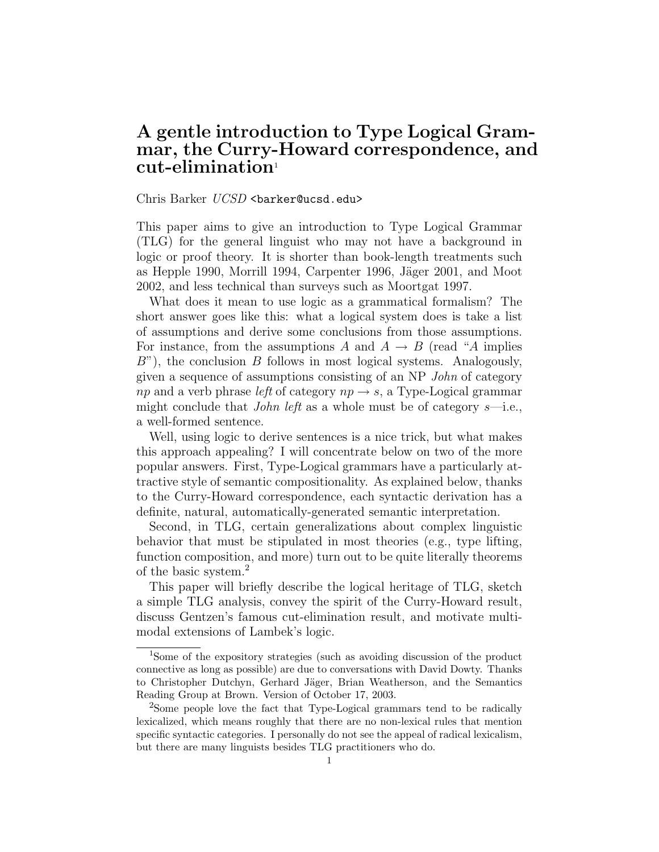# A gentle introduction to Type Logical Grammar, the Curry-Howard correspondence, and  $cut$ -elimination

#### Chris Barker UCSD <br/>barker@ucsd.edu>

This paper aims to give an introduction to Type Logical Grammar (TLG) for the general linguist who may not have a background in logic or proof theory. It is shorter than book-length treatments such as Hepple 1990, Morrill 1994, Carpenter 1996, Jäger 2001, and Moot 2002, and less technical than surveys such as Moortgat 1997.

What does it mean to use logic as a grammatical formalism? The short answer goes like this: what a logical system does is take a list of assumptions and derive some conclusions from those assumptions. For instance, from the assumptions A and  $A \rightarrow B$  (read "A implies  $B$ "), the conclusion B follows in most logical systems. Analogously, given a sequence of assumptions consisting of an NP John of category np and a verb phrase left of category  $np \rightarrow s$ , a Type-Logical grammar might conclude that *John left* as a whole must be of category  $s$ —i.e., a well-formed sentence.

Well, using logic to derive sentences is a nice trick, but what makes this approach appealing? I will concentrate below on two of the more popular answers. First, Type-Logical grammars have a particularly attractive style of semantic compositionality. As explained below, thanks to the Curry-Howard correspondence, each syntactic derivation has a definite, natural, automatically-generated semantic interpretation.

Second, in TLG, certain generalizations about complex linguistic behavior that must be stipulated in most theories (e.g., type lifting, function composition, and more) turn out to be quite literally theorems of the basic system.<sup>2</sup>

This paper will briefly describe the logical heritage of TLG, sketch a simple TLG analysis, convey the spirit of the Curry-Howard result, discuss Gentzen's famous cut-elimination result, and motivate multimodal extensions of Lambek's logic.

<sup>1</sup>Some of the expository strategies (such as avoiding discussion of the product connective as long as possible) are due to conversations with David Dowty. Thanks to Christopher Dutchyn, Gerhard Jäger, Brian Weatherson, and the Semantics Reading Group at Brown. Version of October 17, 2003.

<sup>&</sup>lt;sup>2</sup>Some people love the fact that Type-Logical grammars tend to be radically lexicalized, which means roughly that there are no non-lexical rules that mention specific syntactic categories. I personally do not see the appeal of radical lexicalism, but there are many linguists besides TLG practitioners who do.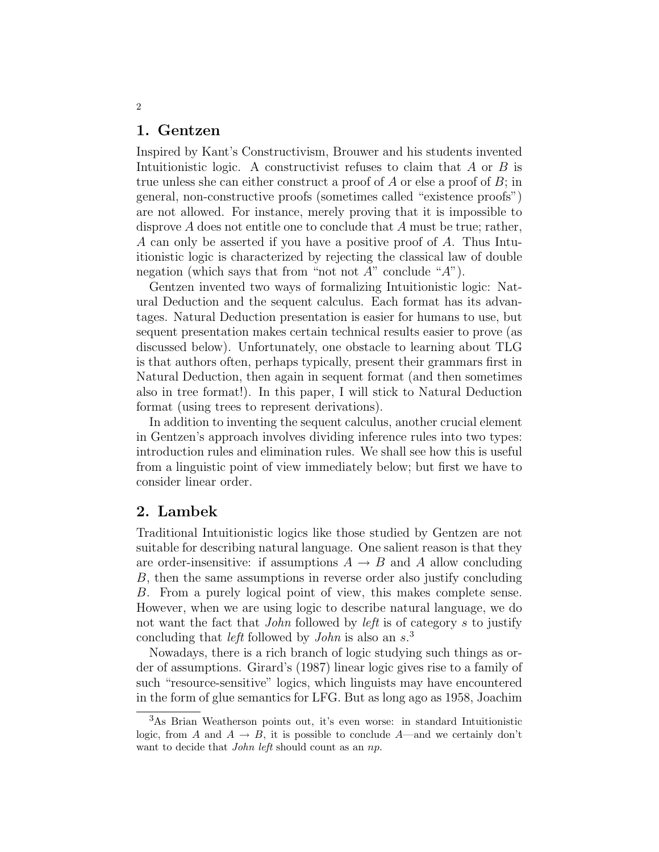### 1. Gentzen

Inspired by Kant's Constructivism, Brouwer and his students invented Intuitionistic logic. A constructivist refuses to claim that A or B is true unless she can either construct a proof of A or else a proof of B; in general, non-constructive proofs (sometimes called "existence proofs") are not allowed. For instance, merely proving that it is impossible to disprove A does not entitle one to conclude that A must be true; rather, A can only be asserted if you have a positive proof of A. Thus Intuitionistic logic is characterized by rejecting the classical law of double negation (which says that from "not not  $A$ " conclude " $A$ ").

Gentzen invented two ways of formalizing Intuitionistic logic: Natural Deduction and the sequent calculus. Each format has its advantages. Natural Deduction presentation is easier for humans to use, but sequent presentation makes certain technical results easier to prove (as discussed below). Unfortunately, one obstacle to learning about TLG is that authors often, perhaps typically, present their grammars first in Natural Deduction, then again in sequent format (and then sometimes also in tree format!). In this paper, I will stick to Natural Deduction format (using trees to represent derivations).

In addition to inventing the sequent calculus, another crucial element in Gentzen's approach involves dividing inference rules into two types: introduction rules and elimination rules. We shall see how this is useful from a linguistic point of view immediately below; but first we have to consider linear order.

## 2. Lambek

Traditional Intuitionistic logics like those studied by Gentzen are not suitable for describing natural language. One salient reason is that they are order-insensitive: if assumptions  $A \rightarrow B$  and A allow concluding B, then the same assumptions in reverse order also justify concluding B. From a purely logical point of view, this makes complete sense. However, when we are using logic to describe natural language, we do not want the fact that John followed by left is of category s to justify concluding that *left* followed by *John* is also an  $s^3$ .

Nowadays, there is a rich branch of logic studying such things as order of assumptions. Girard's (1987) linear logic gives rise to a family of such "resource-sensitive" logics, which linguists may have encountered in the form of glue semantics for LFG. But as long ago as 1958, Joachim

<sup>3</sup>As Brian Weatherson points out, it's even worse: in standard Intuitionistic logic, from A and  $A \rightarrow B$ , it is possible to conclude A—and we certainly don't want to decide that *John left* should count as an np.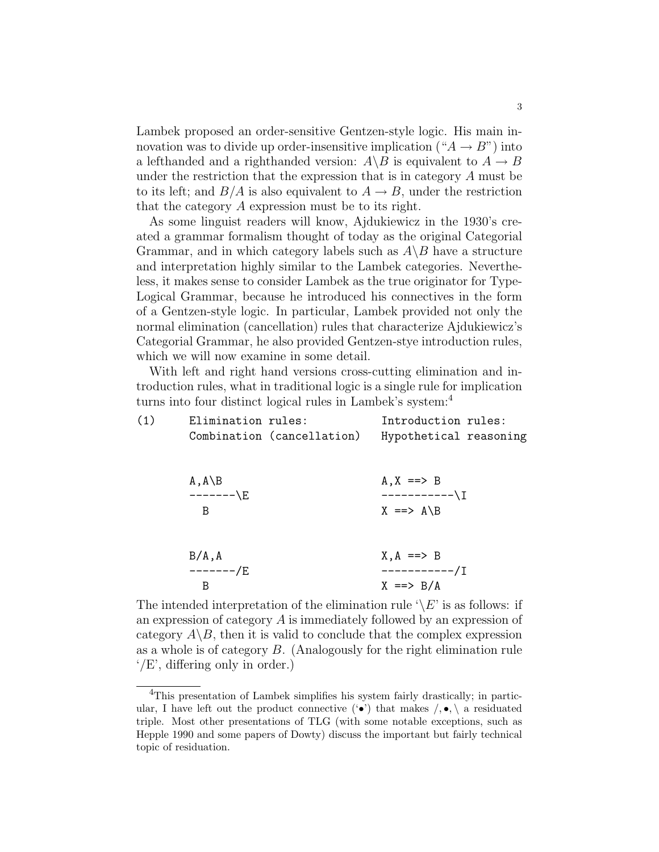Lambek proposed an order-sensitive Gentzen-style logic. His main innovation was to divide up order-insensitive implication (" $A \rightarrow B$ ") into a lefthanded and a righthanded version:  $A \ B$  is equivalent to  $A \to B$ under the restriction that the expression that is in category A must be to its left; and  $B/A$  is also equivalent to  $A \rightarrow B$ , under the restriction that the category A expression must be to its right.

As some linguist readers will know, Ajdukiewicz in the 1930's created a grammar formalism thought of today as the original Categorial Grammar, and in which category labels such as  $A\backslash B$  have a structure and interpretation highly similar to the Lambek categories. Nevertheless, it makes sense to consider Lambek as the true originator for Type-Logical Grammar, because he introduced his connectives in the form of a Gentzen-style logic. In particular, Lambek provided not only the normal elimination (cancellation) rules that characterize Ajdukiewicz's Categorial Grammar, he also provided Gentzen-stye introduction rules, which we will now examine in some detail.

With left and right hand versions cross-cutting elimination and introduction rules, what in traditional logic is a single rule for implication turns into four distinct logical rules in Lambek's system:<sup>4</sup>

| (1) | Elimination rules: |                            | Introduction rules:    |  |
|-----|--------------------|----------------------------|------------------------|--|
|     |                    | Combination (cancellation) | Hypothetical reasoning |  |
|     |                    |                            |                        |  |
|     | $A, A \ B$         |                            | $A, X == > B$          |  |
|     | -------\E          |                            | -----------\]          |  |
|     | B                  |                            | $X \implies A \ B$     |  |
|     |                    |                            |                        |  |
|     | B/A, A             |                            | $X, A == > B$          |  |
|     | -------/E          |                            | -----------/T          |  |
|     | B                  |                            | $X \equiv >> B/A$      |  |

The intended interpretation of the elimination rule  $\Diamond E$  is as follows: if an expression of category A is immediately followed by an expression of category  $A \setminus B$ , then it is valid to conclude that the complex expression as a whole is of category B. (Analogously for the right elimination rule '/E', differing only in order.)

<sup>&</sup>lt;sup>4</sup>This presentation of Lambek simplifies his system fairly drastically; in particular, I have left out the product connective  $(•)$  that makes  $/$ ,  $•$ ,  $\alpha$  residuated triple. Most other presentations of TLG (with some notable exceptions, such as Hepple 1990 and some papers of Dowty) discuss the important but fairly technical topic of residuation.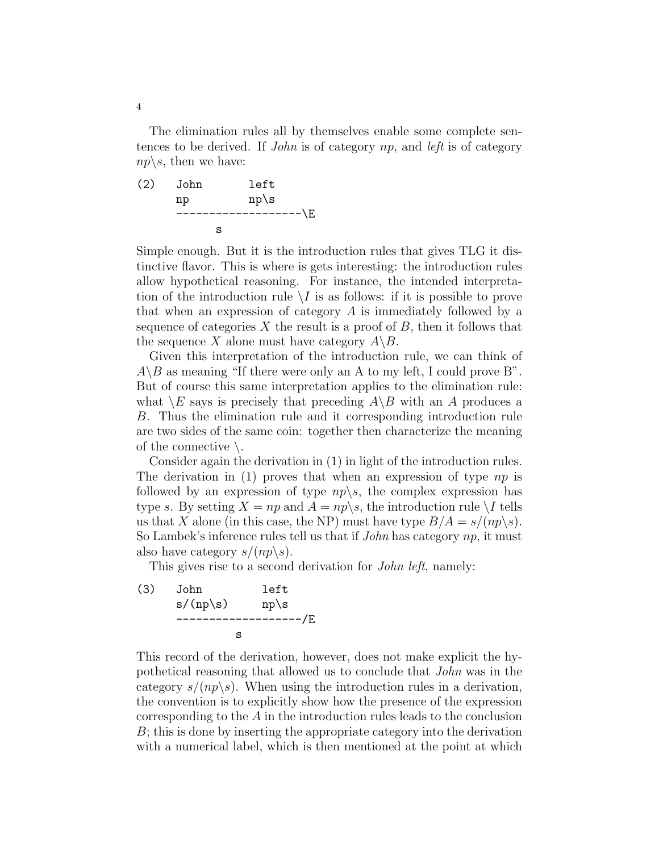The elimination rules all by themselves enable some complete sentences to be derived. If John is of category np, and left is of category  $np\backslash s$ , then we have:

(2) John left np np\s -------------------\E s

Simple enough. But it is the introduction rules that gives TLG it distinctive flavor. This is where is gets interesting: the introduction rules allow hypothetical reasoning. For instance, the intended interpretation of the introduction rule  $\setminus I$  is as follows: if it is possible to prove that when an expression of category A is immediately followed by a sequence of categories X the result is a proof of  $B$ , then it follows that the sequence X alone must have category  $A \backslash B$ .

Given this interpretation of the introduction rule, we can think of  $A \setminus B$  as meaning "If there were only an A to my left, I could prove B". But of course this same interpretation applies to the elimination rule: what  $\setminus E$  says is precisely that preceding  $A \setminus B$  with an A produces a B. Thus the elimination rule and it corresponding introduction rule are two sides of the same coin: together then characterize the meaning of the connective  $\setminus$ .

Consider again the derivation in (1) in light of the introduction rules. The derivation in (1) proves that when an expression of type  $np$  is followed by an expression of type  $np\backslash s$ , the complex expression has type s. By setting  $X = np$  and  $A = np\backslash s$ , the introduction rule  $\backslash I$  tells us that X alone (in this case, the NP) must have type  $B/A = s/(np\backslash s)$ . So Lambek's inference rules tell us that if  $John$  has category  $np$ , it must also have category  $s/(np\backslash s)$ .

This gives rise to a second derivation for *John left*, namely:

(3) John left  
\n
$$
s/(np \s)
$$
 np \s  
\n-----  
\nS

This record of the derivation, however, does not make explicit the hypothetical reasoning that allowed us to conclude that John was in the category  $s/(np\backslash s)$ . When using the introduction rules in a derivation, the convention is to explicitly show how the presence of the expression corresponding to the A in the introduction rules leads to the conclusion B; this is done by inserting the appropriate category into the derivation with a numerical label, which is then mentioned at the point at which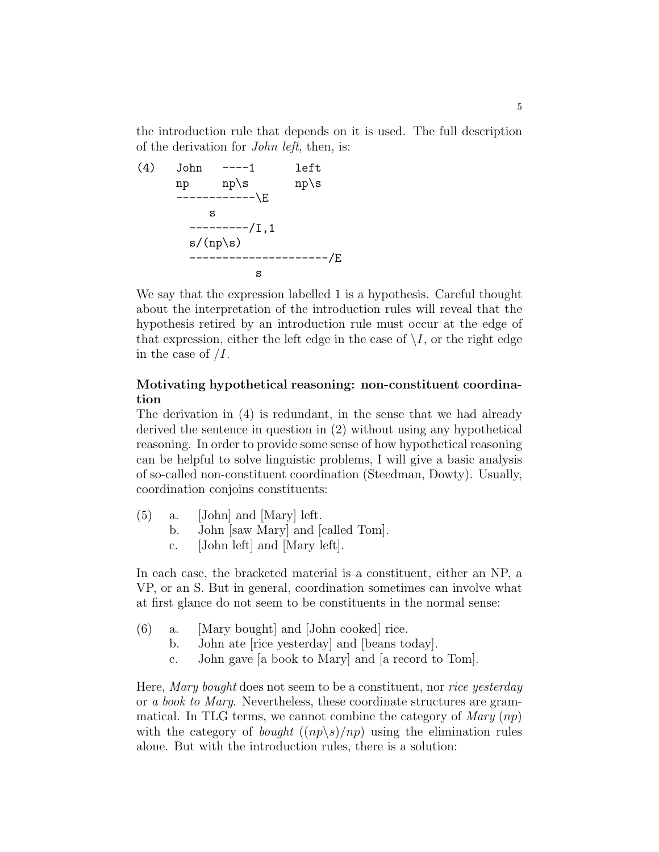the introduction rule that depends on it is used. The full description of the derivation for John left, then, is:

(4) John 
$$
---1
$$
 left  
\nnp np \s n p \s n p \s n p \s n p \s n p \s n p \s n p \s n p \s n p \n s\n ---------/I, 1  
\n s/(np \s) ------------/E  
\n s

We say that the expression labelled 1 is a hypothesis. Careful thought about the interpretation of the introduction rules will reveal that the hypothesis retired by an introduction rule must occur at the edge of that expression, either the left edge in the case of  $\setminus I$ , or the right edge in the case of  $II$ .

## Motivating hypothetical reasoning: non-constituent coordination

The derivation in (4) is redundant, in the sense that we had already derived the sentence in question in (2) without using any hypothetical reasoning. In order to provide some sense of how hypothetical reasoning can be helpful to solve linguistic problems, I will give a basic analysis of so-called non-constituent coordination (Steedman, Dowty). Usually, coordination conjoins constituents:

- (5) a. [John] and [Mary] left.
	- b. John [saw Mary] and [called Tom].
	- c. [John left] and [Mary left].

In each case, the bracketed material is a constituent, either an NP, a VP, or an S. But in general, coordination sometimes can involve what at first glance do not seem to be constituents in the normal sense:

- (6) a. [Mary bought] and [John cooked] rice.
	- b. John ate [rice yesterday] and [beans today].
	- c. John gave [a book to Mary] and [a record to Tom].

Here, Mary bought does not seem to be a constituent, nor rice yesterday or a book to Mary. Nevertheless, these coordinate structures are grammatical. In TLG terms, we cannot combine the category of  $Mary$  (np) with the category of *bought*  $((np\gtrsim s)/np)$  using the elimination rules alone. But with the introduction rules, there is a solution: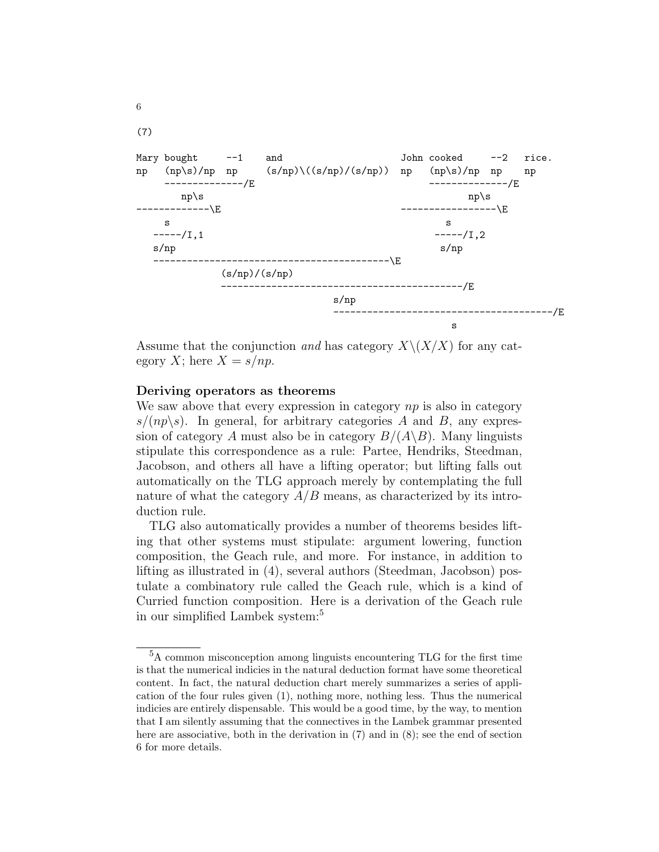

Assume that the conjunction and has category  $X\setminus (X/X)$  for any category X; here  $X = s/np$ .

#### Deriving operators as theorems

6

We saw above that every expression in category  $np$  is also in category  $s/(np\backslash s)$ . In general, for arbitrary categories A and B, any expression of category A must also be in category  $B/(A\backslash B)$ . Many linguists stipulate this correspondence as a rule: Partee, Hendriks, Steedman, Jacobson, and others all have a lifting operator; but lifting falls out automatically on the TLG approach merely by contemplating the full nature of what the category  $A/B$  means, as characterized by its introduction rule.

TLG also automatically provides a number of theorems besides lifting that other systems must stipulate: argument lowering, function composition, the Geach rule, and more. For instance, in addition to lifting as illustrated in (4), several authors (Steedman, Jacobson) postulate a combinatory rule called the Geach rule, which is a kind of Curried function composition. Here is a derivation of the Geach rule in our simplified Lambek system:<sup>5</sup>

<sup>5</sup>A common misconception among linguists encountering TLG for the first time is that the numerical indicies in the natural deduction format have some theoretical content. In fact, the natural deduction chart merely summarizes a series of application of the four rules given (1), nothing more, nothing less. Thus the numerical indicies are entirely dispensable. This would be a good time, by the way, to mention that I am silently assuming that the connectives in the Lambek grammar presented here are associative, both in the derivation in (7) and in (8); see the end of section 6 for more details.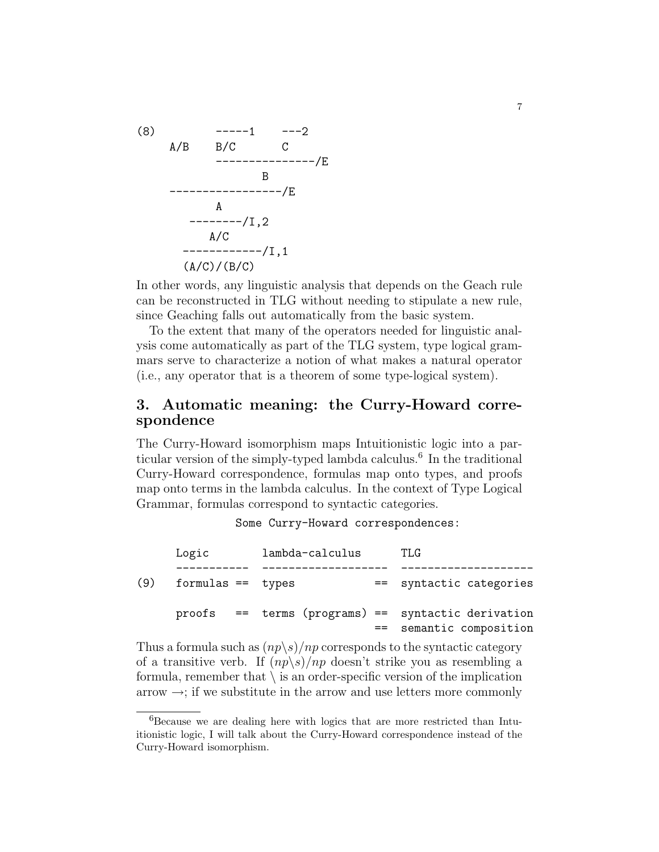

In other words, any linguistic analysis that depends on the Geach rule can be reconstructed in TLG without needing to stipulate a new rule, since Geaching falls out automatically from the basic system.

To the extent that many of the operators needed for linguistic analysis come automatically as part of the TLG system, type logical grammars serve to characterize a notion of what makes a natural operator (i.e., any operator that is a theorem of some type-logical system).

## 3. Automatic meaning: the Curry-Howard correspondence

The Curry-Howard isomorphism maps Intuitionistic logic into a particular version of the simply-typed lambda calculus.<sup>6</sup> In the traditional Curry-Howard correspondence, formulas map onto types, and proofs map onto terms in the lambda calculus. In the context of Type Logical Grammar, formulas correspond to syntactic categories.

Some Curry-Howard correspondences:

|     | Logic               |  | lambda-calculus |      | TLG                                                                        |
|-----|---------------------|--|-----------------|------|----------------------------------------------------------------------------|
| (9) | $formulas == types$ |  |                 | $==$ | syntactic categories                                                       |
|     |                     |  |                 | $==$ | proofs == terms (programs) == syntactic derivation<br>semantic composition |

Thus a formula such as  $(np\backslash s)/np$  corresponds to the syntactic category of a transitive verb. If  $(np\backslash s)/np$  doesn't strike you as resembling a formula, remember that  $\setminus$  is an order-specific version of the implication arrow  $\rightarrow$ ; if we substitute in the arrow and use letters more commonly

<sup>6</sup>Because we are dealing here with logics that are more restricted than Intuitionistic logic, I will talk about the Curry-Howard correspondence instead of the Curry-Howard isomorphism.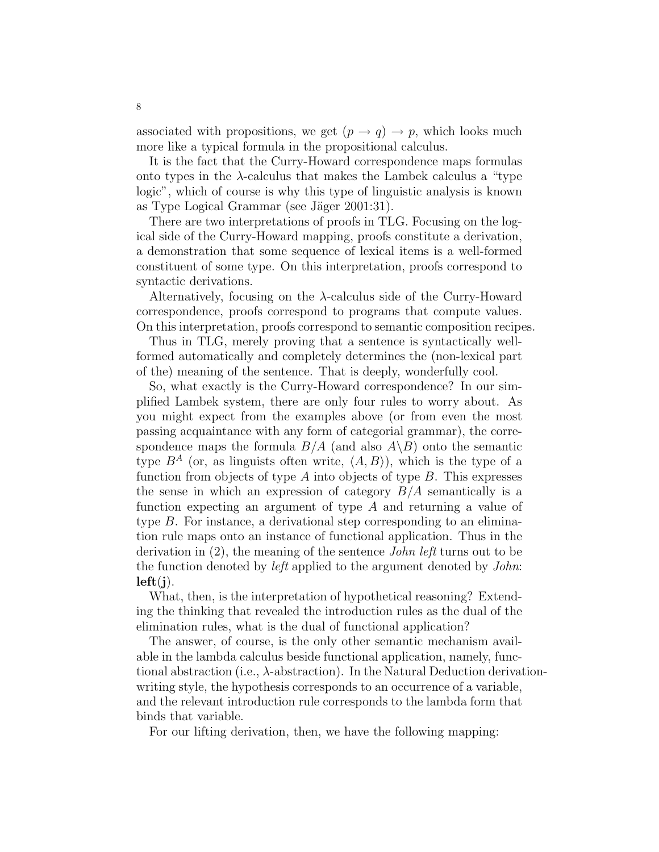associated with propositions, we get  $(p \to q) \to p$ , which looks much more like a typical formula in the propositional calculus.

It is the fact that the Curry-Howard correspondence maps formulas onto types in the  $\lambda$ -calculus that makes the Lambek calculus a "type" logic", which of course is why this type of linguistic analysis is known as Type Logical Grammar (see Jäger 2001:31).

There are two interpretations of proofs in TLG. Focusing on the logical side of the Curry-Howard mapping, proofs constitute a derivation, a demonstration that some sequence of lexical items is a well-formed constituent of some type. On this interpretation, proofs correspond to syntactic derivations.

Alternatively, focusing on the  $\lambda$ -calculus side of the Curry-Howard correspondence, proofs correspond to programs that compute values. On this interpretation, proofs correspond to semantic composition recipes.

Thus in TLG, merely proving that a sentence is syntactically wellformed automatically and completely determines the (non-lexical part of the) meaning of the sentence. That is deeply, wonderfully cool.

So, what exactly is the Curry-Howard correspondence? In our simplified Lambek system, there are only four rules to worry about. As you might expect from the examples above (or from even the most passing acquaintance with any form of categorial grammar), the correspondence maps the formula  $B/A$  (and also  $A\backslash B$ ) onto the semantic type  $B^A$  (or, as linguists often write,  $\langle A, B \rangle$ ), which is the type of a function from objects of type A into objects of type  $B$ . This expresses the sense in which an expression of category  $B/A$  semantically is a function expecting an argument of type A and returning a value of type B. For instance, a derivational step corresponding to an elimination rule maps onto an instance of functional application. Thus in the derivation in (2), the meaning of the sentence John left turns out to be the function denoted by left applied to the argument denoted by John:  $left(i)$ .

What, then, is the interpretation of hypothetical reasoning? Extending the thinking that revealed the introduction rules as the dual of the elimination rules, what is the dual of functional application?

The answer, of course, is the only other semantic mechanism available in the lambda calculus beside functional application, namely, functional abstraction (i.e.,  $\lambda$ -abstraction). In the Natural Deduction derivationwriting style, the hypothesis corresponds to an occurrence of a variable, and the relevant introduction rule corresponds to the lambda form that binds that variable.

For our lifting derivation, then, we have the following mapping: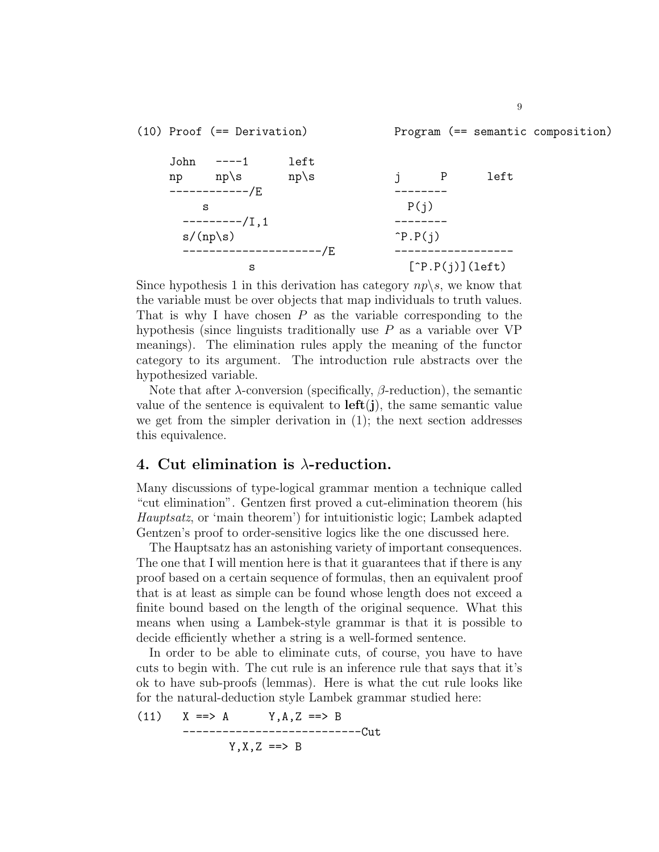(10) Proof (== Derivation) Program (== semantic composition) John ----1 left np np\s np\s j P left ------------/E ------- s  $P(j)$ ---------/I,1 -------  $s/(np\backslash s)$   $\hat{P}.P(j)$ ---------------------/E ----------------- s  $[{}^{\uparrow}P.P(j)](left)$ 

Since hypothesis 1 in this derivation has category  $np\$ s, we know that the variable must be over objects that map individuals to truth values. That is why I have chosen  $P$  as the variable corresponding to the hypothesis (since linguists traditionally use  $P$  as a variable over  $VP$ meanings). The elimination rules apply the meaning of the functor category to its argument. The introduction rule abstracts over the hypothesized variable.

Note that after  $\lambda$ -conversion (specifically,  $\beta$ -reduction), the semantic value of the sentence is equivalent to  $\text{left}(j)$ , the same semantic value we get from the simpler derivation in (1); the next section addresses this equivalence.

### 4. Cut elimination is  $\lambda$ -reduction.

Many discussions of type-logical grammar mention a technique called "cut elimination". Gentzen first proved a cut-elimination theorem (his Hauptsatz, or 'main theorem') for intuitionistic logic; Lambek adapted Gentzen's proof to order-sensitive logics like the one discussed here.

The Hauptsatz has an astonishing variety of important consequences. The one that I will mention here is that it guarantees that if there is any proof based on a certain sequence of formulas, then an equivalent proof that is at least as simple can be found whose length does not exceed a finite bound based on the length of the original sequence. What this means when using a Lambek-style grammar is that it is possible to decide efficiently whether a string is a well-formed sentence.

In order to be able to eliminate cuts, of course, you have to have cuts to begin with. The cut rule is an inference rule that says that it's ok to have sub-proofs (lemmas). Here is what the cut rule looks like for the natural-deduction style Lambek grammar studied here:

(11) 
$$
X == > A
$$
  $Y, A, Z == > B$   
------------------  
 $Y, X, Z == > B$   
 $Y, X, Z == > B$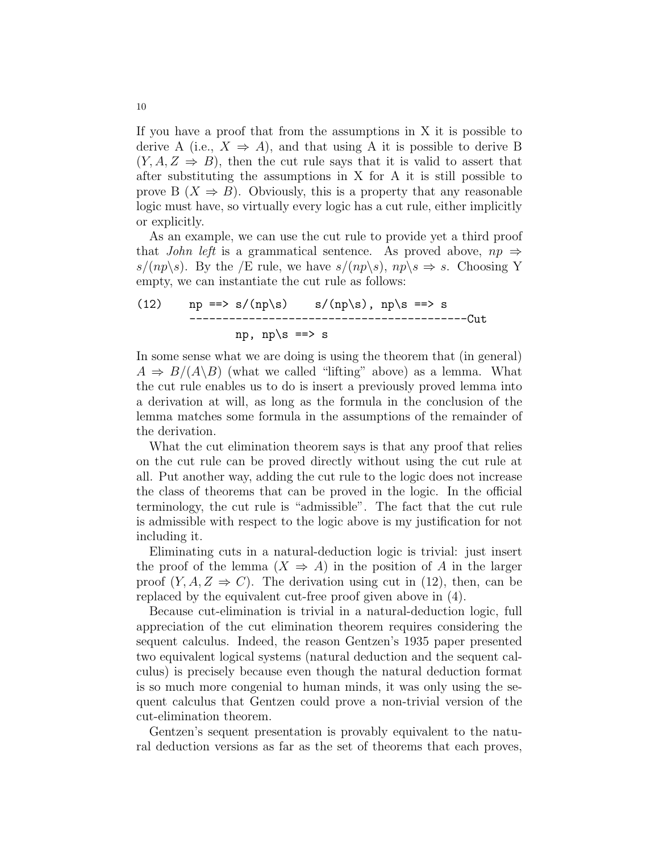If you have a proof that from the assumptions in X it is possible to derive A (i.e.,  $X \Rightarrow A$ ), and that using A it is possible to derive B  $(Y, A, Z \Rightarrow B)$ , then the cut rule says that it is valid to assert that after substituting the assumptions in X for A it is still possible to prove B  $(X \Rightarrow B)$ . Obviously, this is a property that any reasonable logic must have, so virtually every logic has a cut rule, either implicitly or explicitly.

As an example, we can use the cut rule to provide yet a third proof that *John left* is a grammatical sentence. As proved above,  $np \Rightarrow$  $s/(np\backslash s)$ . By the /E rule, we have  $s/(np\backslash s)$ ,  $np\backslash s \Rightarrow s$ . Choosing Y empty, we can instantiate the cut rule as follows:

(12) 
$$
np ==> s/(np \s) \t s/(np \s), np \s ==> s
$$
  
---------------------  
mp, np \s ==> s

In some sense what we are doing is using the theorem that (in general)  $A \Rightarrow B/(A \backslash B)$  (what we called "lifting" above) as a lemma. What the cut rule enables us to do is insert a previously proved lemma into a derivation at will, as long as the formula in the conclusion of the lemma matches some formula in the assumptions of the remainder of the derivation.

What the cut elimination theorem says is that any proof that relies on the cut rule can be proved directly without using the cut rule at all. Put another way, adding the cut rule to the logic does not increase the class of theorems that can be proved in the logic. In the official terminology, the cut rule is "admissible". The fact that the cut rule is admissible with respect to the logic above is my justification for not including it.

Eliminating cuts in a natural-deduction logic is trivial: just insert the proof of the lemma  $(X \Rightarrow A)$  in the position of A in the larger proof  $(Y, A, Z \Rightarrow C)$ . The derivation using cut in (12), then, can be replaced by the equivalent cut-free proof given above in (4).

Because cut-elimination is trivial in a natural-deduction logic, full appreciation of the cut elimination theorem requires considering the sequent calculus. Indeed, the reason Gentzen's 1935 paper presented two equivalent logical systems (natural deduction and the sequent calculus) is precisely because even though the natural deduction format is so much more congenial to human minds, it was only using the sequent calculus that Gentzen could prove a non-trivial version of the cut-elimination theorem.

Gentzen's sequent presentation is provably equivalent to the natural deduction versions as far as the set of theorems that each proves,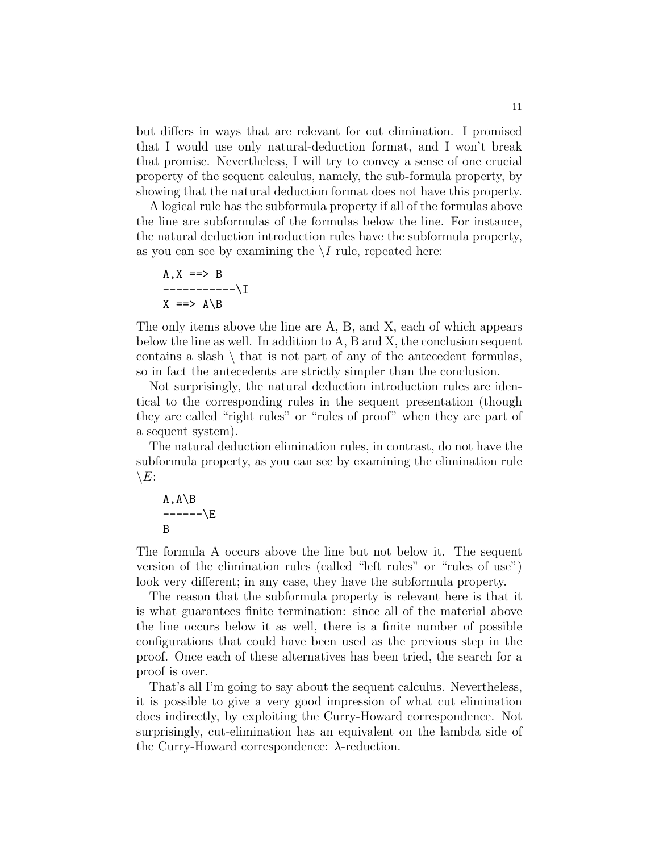but differs in ways that are relevant for cut elimination. I promised that I would use only natural-deduction format, and I won't break that promise. Nevertheless, I will try to convey a sense of one crucial property of the sequent calculus, namely, the sub-formula property, by showing that the natural deduction format does not have this property.

A logical rule has the subformula property if all of the formulas above the line are subformulas of the formulas below the line. For instance, the natural deduction introduction rules have the subformula property, as you can see by examining the  $\setminus I$  rule, repeated here:

$$
A, X \implies B
$$
  
----------\I  

$$
X \implies A \setminus B
$$

The only items above the line are A, B, and X, each of which appears below the line as well. In addition to A, B and X, the conclusion sequent contains a slash  $\setminus$  that is not part of any of the antecedent formulas, so in fact the antecedents are strictly simpler than the conclusion.

Not surprisingly, the natural deduction introduction rules are identical to the corresponding rules in the sequent presentation (though they are called "right rules" or "rules of proof" when they are part of a sequent system).

The natural deduction elimination rules, in contrast, do not have the subformula property, as you can see by examining the elimination rule  $\setminus E$ :

A, A\ B\n
$$
----\E
$$
\nB

The formula A occurs above the line but not below it. The sequent version of the elimination rules (called "left rules" or "rules of use") look very different; in any case, they have the subformula property.

The reason that the subformula property is relevant here is that it is what guarantees finite termination: since all of the material above the line occurs below it as well, there is a finite number of possible configurations that could have been used as the previous step in the proof. Once each of these alternatives has been tried, the search for a proof is over.

That's all I'm going to say about the sequent calculus. Nevertheless, it is possible to give a very good impression of what cut elimination does indirectly, by exploiting the Curry-Howard correspondence. Not surprisingly, cut-elimination has an equivalent on the lambda side of the Curry-Howard correspondence: λ-reduction.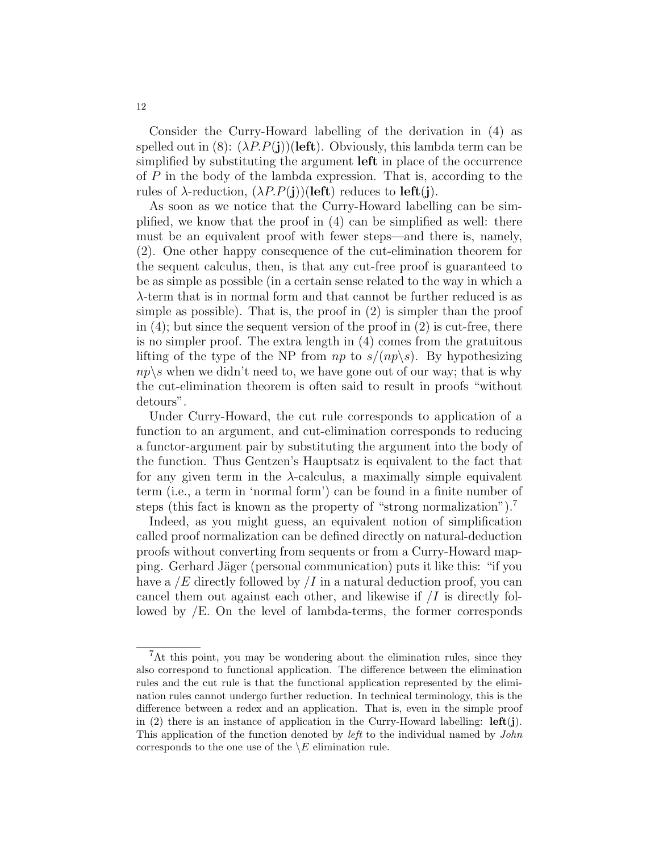Consider the Curry-Howard labelling of the derivation in (4) as spelled out in (8):  $(\lambda P.P(j))$ (left). Obviously, this lambda term can be simplified by substituting the argument left in place of the occurrence of P in the body of the lambda expression. That is, according to the rules of  $\lambda$ -reduction,  $(\lambda P.P(j))$ (left) reduces to left(j).

As soon as we notice that the Curry-Howard labelling can be simplified, we know that the proof in (4) can be simplified as well: there must be an equivalent proof with fewer steps—and there is, namely, (2). One other happy consequence of the cut-elimination theorem for the sequent calculus, then, is that any cut-free proof is guaranteed to be as simple as possible (in a certain sense related to the way in which a λ-term that is in normal form and that cannot be further reduced is as simple as possible). That is, the proof in (2) is simpler than the proof in  $(4)$ ; but since the sequent version of the proof in  $(2)$  is cut-free, there is no simpler proof. The extra length in (4) comes from the gratuitous lifting of the type of the NP from  $np$  to  $s/(np\backslash s)$ . By hypothesizing  $np \succeq s$  when we didn't need to, we have gone out of our way; that is why the cut-elimination theorem is often said to result in proofs "without detours".

Under Curry-Howard, the cut rule corresponds to application of a function to an argument, and cut-elimination corresponds to reducing a functor-argument pair by substituting the argument into the body of the function. Thus Gentzen's Hauptsatz is equivalent to the fact that for any given term in the  $\lambda$ -calculus, a maximally simple equivalent term (i.e., a term in 'normal form') can be found in a finite number of steps (this fact is known as the property of "strong normalization").<sup>7</sup>

Indeed, as you might guess, an equivalent notion of simplification called proof normalization can be defined directly on natural-deduction proofs without converting from sequents or from a Curry-Howard mapping. Gerhard Jäger (personal communication) puts it like this: "if you have a  $/E$  directly followed by  $\overline{I}$  in a natural deduction proof, you can cancel them out against each other, and likewise if  $\overline{I}$  is directly followed by /E. On the level of lambda-terms, the former corresponds

<sup>&</sup>lt;sup>7</sup>At this point, you may be wondering about the elimination rules, since they also correspond to functional application. The difference between the elimination rules and the cut rule is that the functional application represented by the elimination rules cannot undergo further reduction. In technical terminology, this is the difference between a redex and an application. That is, even in the simple proof in  $(2)$  there is an instance of application in the Curry-Howard labelling: **left(j)**. This application of the function denoted by left to the individual named by John corresponds to the one use of the  $\setminus E$  elimination rule.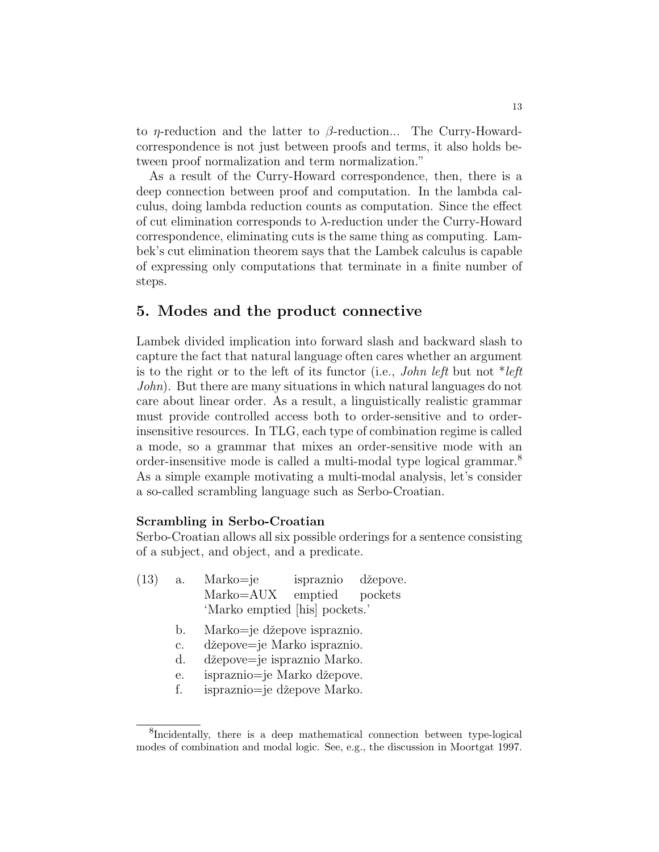to *η*-reduction and the latter to  $\beta$ -reduction... The Curry-Howardcorrespondence is not just between proofs and terms, it also holds between proof normalization and term normalization."

As a result of the Curry-Howard correspondence, then, there is a deep connection between proof and computation. In the lambda calculus, doing lambda reduction counts as computation. Since the effect of cut elimination corresponds to λ-reduction under the Curry-Howard correspondence, eliminating cuts is the same thing as computing. Lambek's cut elimination theorem says that the Lambek calculus is capable of expressing only computations that terminate in a finite number of steps.

## 5. Modes and the product connective

Lambek divided implication into forward slash and backward slash to capture the fact that natural language often cares whether an argument is to the right or to the left of its functor (i.e., *John left* but not  $e^*left$ John). But there are many situations in which natural languages do not care about linear order. As a result, a linguistically realistic grammar must provide controlled access both to order-sensitive and to orderinsensitive resources. In TLG, each type of combination regime is called a mode, so a grammar that mixes an order-sensitive mode with an order-insensitive mode is called a multi-modal type logical grammar.<sup>8</sup> As a simple example motivating a multi-modal analysis, let's consider a so-called scrambling language such as Serbo-Croatian.

### Scrambling in Serbo-Croatian

Serbo-Croatian allows all six possible orderings for a sentence consisting of a subject, and object, and a predicate.

- (13) a. Marko=je ispraznio džepove. Marko=AUX emptied pockets 'Marko emptied [his] pockets.'
	- b. Marko=je džepove ispraznio.
	- c. džepove=je Marko ispraznio.
	- d. džepove=je ispraznio Marko.
	- e. ispraznio=je Marko džepove.
	- f. ispraznio=je džepove Marko.

<sup>&</sup>lt;sup>8</sup>Incidentally, there is a deep mathematical connection between type-logical modes of combination and modal logic. See, e.g., the discussion in Moortgat 1997.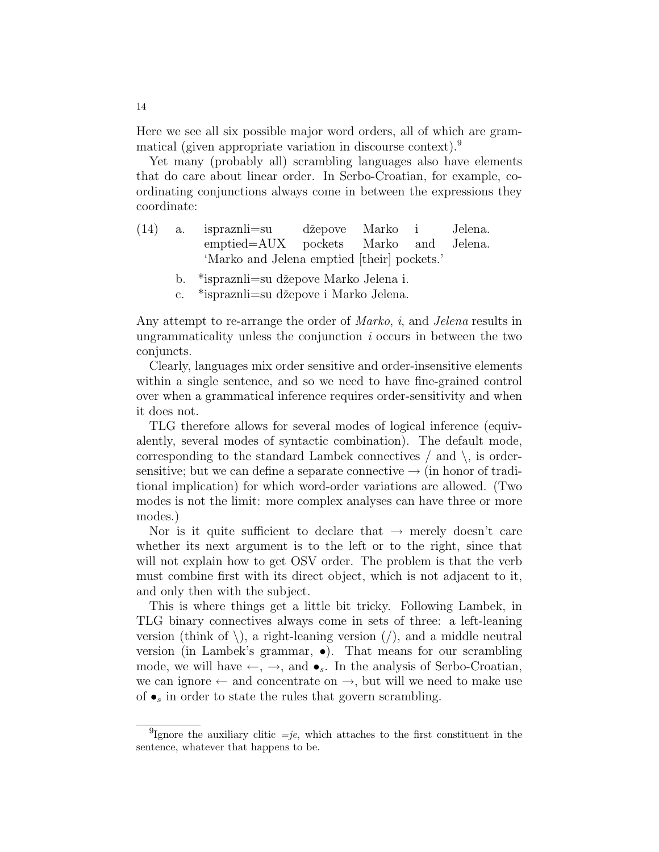Here we see all six possible major word orders, all of which are grammatical (given appropriate variation in discourse context).<sup>9</sup>

Yet many (probably all) scrambling languages also have elements that do care about linear order. In Serbo-Croatian, for example, coordinating conjunctions always come in between the expressions they coordinate:

- (14) a. ispraznli=su džepove Marko i Jelena. emptied=AUX pockets Marko and Jelena. 'Marko and Jelena emptied [their] pockets.'
	- b. \*ispraznli=su džepove Marko Jelena i.
	- c. \* ispraznli su džepove i Marko Jelena.

Any attempt to re-arrange the order of *Marko*, *i*, and *Jelena* results in ungrammaticality unless the conjunction i occurs in between the two conjuncts.

Clearly, languages mix order sensitive and order-insensitive elements within a single sentence, and so we need to have fine-grained control over when a grammatical inference requires order-sensitivity and when it does not.

TLG therefore allows for several modes of logical inference (equivalently, several modes of syntactic combination). The default mode, corresponding to the standard Lambek connectives  $/$  and  $\backslash$ , is ordersensitive; but we can define a separate connective  $\rightarrow$  (in honor of traditional implication) for which word-order variations are allowed. (Two modes is not the limit: more complex analyses can have three or more modes.)

Nor is it quite sufficient to declare that  $\rightarrow$  merely doesn't care whether its next argument is to the left or to the right, since that will not explain how to get OSV order. The problem is that the verb must combine first with its direct object, which is not adjacent to it, and only then with the subject.

This is where things get a little bit tricky. Following Lambek, in TLG binary connectives always come in sets of three: a left-leaning version (think of  $\setminus$ ), a right-leaning version (/), and a middle neutral version (in Lambek's grammar, •). That means for our scrambling mode, we will have  $\leftarrow$ ,  $\rightarrow$ , and  $\bullet_s$ . In the analysis of Serbo-Croatian, we can ignore  $\leftarrow$  and concentrate on  $\rightarrow$ , but will we need to make use of  $\bullet_s$  in order to state the rules that govern scrambling.

<sup>&</sup>lt;sup>9</sup>Ignore the auxiliary clitic  $=je$ , which attaches to the first constituent in the sentence, whatever that happens to be.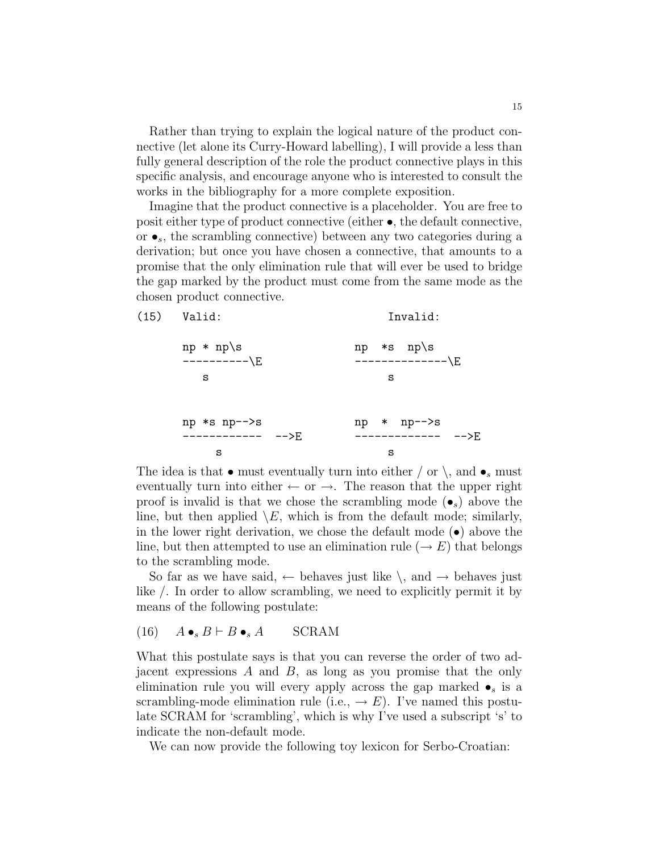Rather than trying to explain the logical nature of the product connective (let alone its Curry-Howard labelling), I will provide a less than fully general description of the role the product connective plays in this specific analysis, and encourage anyone who is interested to consult the works in the bibliography for a more complete exposition.

Imagine that the product connective is a placeholder. You are free to posit either type of product connective (either •, the default connective, or  $\bullet_s$ , the scrambling connective) between any two categories during a derivation; but once you have chosen a connective, that amounts to a promise that the only elimination rule that will ever be used to bridge the gap marked by the product must come from the same mode as the chosen product connective.

| $(15)$ Valid:               | Invalid:                                 |  |  |
|-----------------------------|------------------------------------------|--|--|
| $np * np \$<br>----------\E | $np$ *s $np \succeq$<br>--------------\E |  |  |
| S                           | s                                        |  |  |
| np *s np-->s                | np * np-->s<br>——>F.                     |  |  |
| s                           | s                                        |  |  |

The idea is that • must eventually turn into either  $\prime$  or  $\setminus$ , and • must eventually turn into either  $\leftarrow$  or  $\rightarrow$ . The reason that the upper right proof is invalid is that we chose the scrambling mode  $(\bullet_s)$  above the line, but then applied  $\setminus E$ , which is from the default mode; similarly, in the lower right derivation, we chose the default mode  $(\bullet)$  above the line, but then attempted to use an elimination rule ( $\rightarrow E$ ) that belongs to the scrambling mode.

So far as we have said,  $\leftarrow$  behaves just like  $\setminus$ , and  $\rightarrow$  behaves just like /. In order to allow scrambling, we need to explicitly permit it by means of the following postulate:

### (16)  $A \bullet_s B \vdash B \bullet_s A$  SCRAM

What this postulate says is that you can reverse the order of two adjacent expressions A and B, as long as you promise that the only elimination rule you will every apply across the gap marked  $\bullet_s$  is a scrambling-mode elimination rule (i.e.,  $\rightarrow E$ ). I've named this postulate SCRAM for 'scrambling', which is why I've used a subscript 's' to indicate the non-default mode.

We can now provide the following toy lexicon for Serbo-Croatian: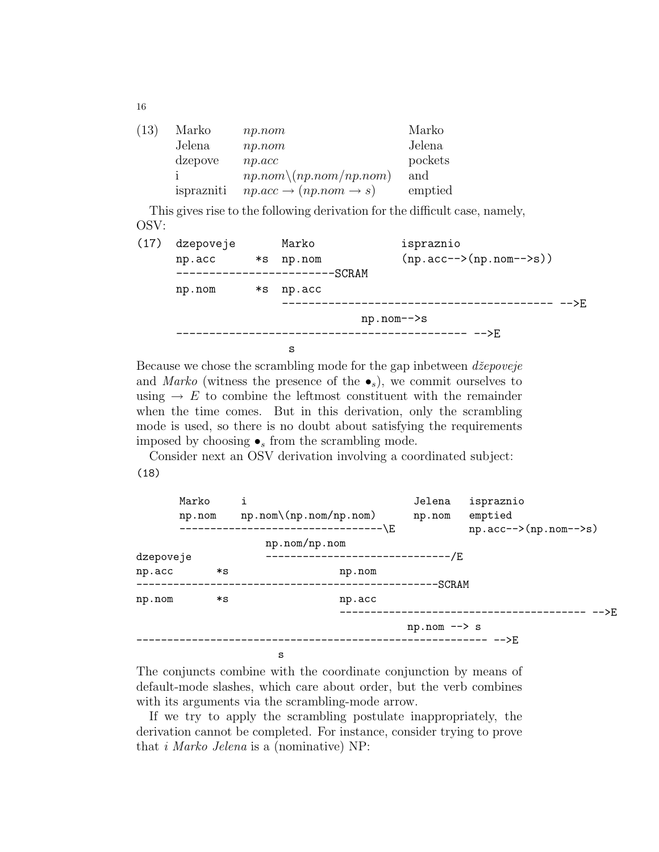| (13) | Marko      | np.nom                                        | Marko   |
|------|------------|-----------------------------------------------|---------|
|      | Jelena     | np.nom                                        | Jelena  |
|      | dzepove    | np. acc                                       | pockets |
|      |            | $np.nom \ (np.nom / np.nom)$                  | and     |
|      | isprazniti | $np. acc \rightarrow (np. nom \rightarrow s)$ | emptied |

This gives rise to the following derivation for the difficult case, namely, OSV:

(17) dzepoveje Marko ispraznio np.acc  $\ast s$  np.nom (np.acc-->(np.nom-->s)) ------------------------SCRAM np.nom \*s np.acc ----------------------------------------- -->E np.nom-->s ------------------ -->E s

Because we chose the scrambling mode for the gap inbetween  $d\breve{z}e poveje$ and Marko (witness the presence of the  $\bullet_s$ ), we commit ourselves to using  $\rightarrow E$  to combine the leftmost constituent with the remainder when the time comes. But in this derivation, only the scrambling mode is used, so there is no doubt about satisfying the requirements imposed by choosing  $\bullet_s$  from the scrambling mode.

Consider next an OSV derivation involving a coordinated subject: (18)

|           | Marko  | i                                 | Jelena                 | ispraznio                           |
|-----------|--------|-----------------------------------|------------------------|-------------------------------------|
|           | np.nom | $np.nom \ (np.nom / np.nom)$      | np.nom                 | emptied                             |
|           |        | -------------------\E             |                        | $np \cdot acc-->(np \cdot nom-->s)$ |
|           |        | np.nom/np.nom                     |                        |                                     |
| dzepoveje |        | -------------------------------/E |                        |                                     |
| np.acc    | *s     | np.nom                            |                        |                                     |
|           |        |                                   | -SCRAM                 |                                     |
| np.nom    | *s     | np.acc                            |                        |                                     |
|           |        |                                   |                        | -->E                                |
|           |        |                                   | $np.nom \rightarrow s$ |                                     |
|           |        |                                   |                        |                                     |
|           |        | s                                 |                        |                                     |

The conjuncts combine with the coordinate conjunction by means of default-mode slashes, which care about order, but the verb combines with its arguments via the scrambling-mode arrow.

If we try to apply the scrambling postulate inappropriately, the derivation cannot be completed. For instance, consider trying to prove that i Marko Jelena is a (nominative) NP: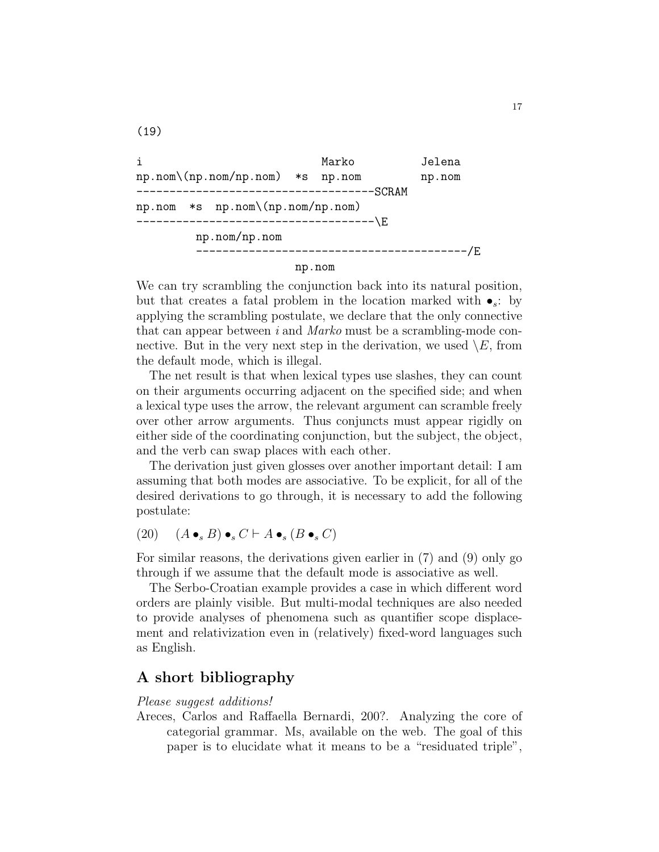i Marko Jelena np.nom\(np.nom/np.nom) \*s np.nom np.nom ------------------------------------SCRAM np.nom \*s np.nom\(np.nom/np.nom) ------------------------------------\E np.nom/np.nom -----------------------------------------/E np.nom

We can try scrambling the conjunction back into its natural position, but that creates a fatal problem in the location marked with  $\bullet_s$ : by applying the scrambling postulate, we declare that the only connective that can appear between i and Marko must be a scrambling-mode connective. But in the very next step in the derivation, we used  $\setminus E$ , from the default mode, which is illegal.

The net result is that when lexical types use slashes, they can count on their arguments occurring adjacent on the specified side; and when a lexical type uses the arrow, the relevant argument can scramble freely over other arrow arguments. Thus conjuncts must appear rigidly on either side of the coordinating conjunction, but the subject, the object, and the verb can swap places with each other.

The derivation just given glosses over another important detail: I am assuming that both modes are associative. To be explicit, for all of the desired derivations to go through, it is necessary to add the following postulate:

$$
(20) \quad (A \bullet_s B) \bullet_s C \vdash A \bullet_s (B \bullet_s C)
$$

(19)

For similar reasons, the derivations given earlier in (7) and (9) only go through if we assume that the default mode is associative as well.

The Serbo-Croatian example provides a case in which different word orders are plainly visible. But multi-modal techniques are also needed to provide analyses of phenomena such as quantifier scope displacement and relativization even in (relatively) fixed-word languages such as English.

## A short bibliography

Please suggest additions!

Areces, Carlos and Raffaella Bernardi, 200?. Analyzing the core of categorial grammar. Ms, available on the web. The goal of this paper is to elucidate what it means to be a "residuated triple",